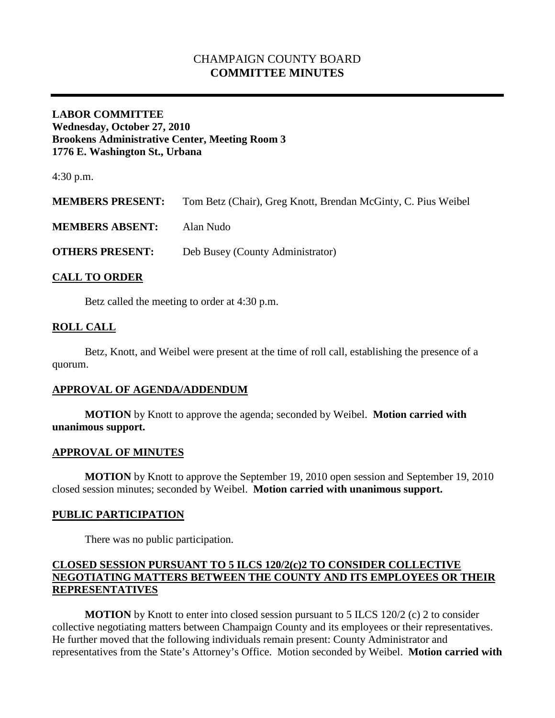# CHAMPAIGN COUNTY BOARD **COMMITTEE MINUTES**

### **LABOR COMMITTEE Wednesday, October 27, 2010 Brookens Administrative Center, Meeting Room 3 1776 E. Washington St., Urbana**

4:30 p.m.

**MEMBERS PRESENT:** Tom Betz (Chair), Greg Knott, Brendan McGinty, C. Pius Weibel

**MEMBERS ABSENT:** Alan Nudo

**OTHERS PRESENT:** Deb Busey (County Administrator)

### **CALL TO ORDER**

Betz called the meeting to order at 4:30 p.m.

### **ROLL CALL**

Betz, Knott, and Weibel were present at the time of roll call, establishing the presence of a quorum.

### **APPROVAL OF AGENDA/ADDENDUM**

**MOTION** by Knott to approve the agenda; seconded by Weibel. **Motion carried with unanimous support.**

#### **APPROVAL OF MINUTES**

**MOTION** by Knott to approve the September 19, 2010 open session and September 19, 2010 closed session minutes; seconded by Weibel. **Motion carried with unanimous support.**

### **PUBLIC PARTICIPATION**

There was no public participation.

### **CLOSED SESSION PURSUANT TO 5 ILCS 120/2(c)2 TO CONSIDER COLLECTIVE NEGOTIATING MATTERS BETWEEN THE COUNTY AND ITS EMPLOYEES OR THEIR REPRESENTATIVES**

**MOTION** by Knott to enter into closed session pursuant to 5 ILCS 120/2 (c) 2 to consider collective negotiating matters between Champaign County and its employees or their representatives. He further moved that the following individuals remain present: County Administrator and representatives from the State's Attorney's Office. Motion seconded by Weibel. **Motion carried with**